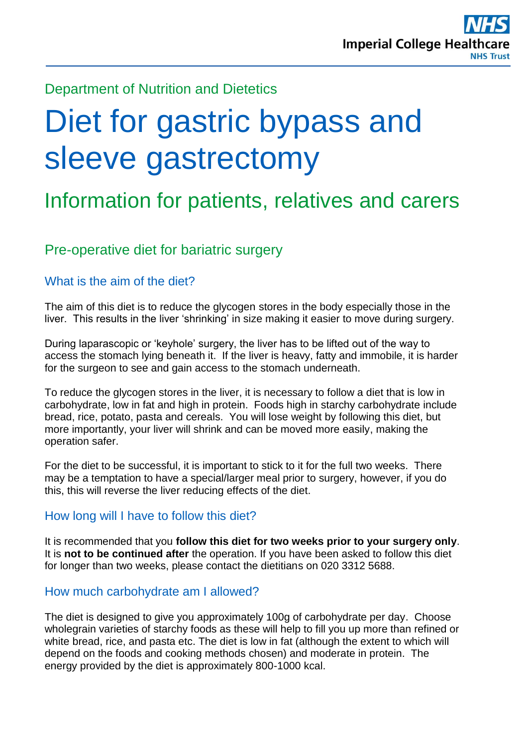Department of Nutrition and Dietetics

# Diet for gastric bypass and sleeve gastrectomy

## Information for patients, relatives and carers

## Pre-operative diet for bariatric surgery

#### What is the aim of the diet?

The aim of this diet is to reduce the glycogen stores in the body especially those in the liver. This results in the liver 'shrinking' in size making it easier to move during surgery.

During laparascopic or 'keyhole' surgery, the liver has to be lifted out of the way to access the stomach lying beneath it. If the liver is heavy, fatty and immobile, it is harder for the surgeon to see and gain access to the stomach underneath.

To reduce the glycogen stores in the liver, it is necessary to follow a diet that is low in carbohydrate, low in fat and high in protein. Foods high in starchy carbohydrate include bread, rice, potato, pasta and cereals. You will lose weight by following this diet, but more importantly, your liver will shrink and can be moved more easily, making the operation safer.

For the diet to be successful, it is important to stick to it for the full two weeks. There may be a temptation to have a special/larger meal prior to surgery, however, if you do this, this will reverse the liver reducing effects of the diet.

#### How long will I have to follow this diet?

It is recommended that you **follow this diet for two weeks prior to your surgery only**. It is **not to be continued after** the operation. If you have been asked to follow this diet for longer than two weeks, please contact the dietitians on 020 3312 5688.

#### How much carbohydrate am I allowed?

The diet is designed to give you approximately 100g of carbohydrate per day. Choose wholegrain varieties of starchy foods as these will help to fill you up more than refined or white bread, rice, and pasta etc. The diet is low in fat (although the extent to which will depend on the foods and cooking methods chosen) and moderate in protein. The energy provided by the diet is approximately 800-1000 kcal.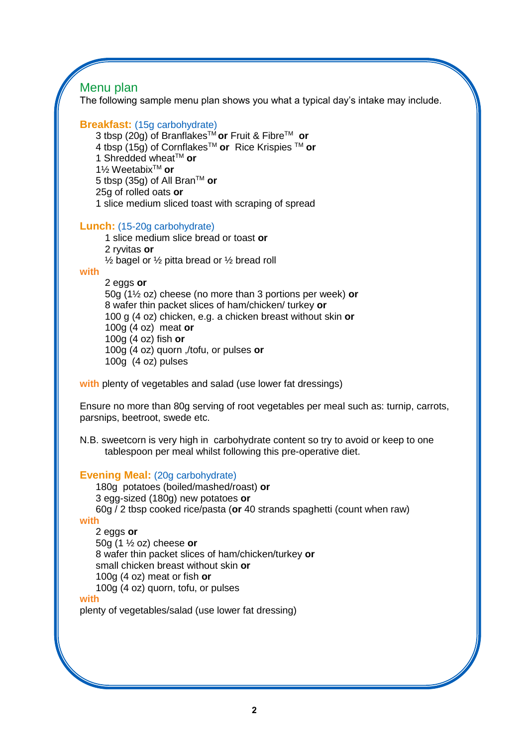## Menu plan

The following sample menu plan shows you what a typical day's intake may include.

#### **Breakfast:** (15g carbohydrate)

3 tbsp (20g) of BranflakesTM **or** Fruit & FibreTM **or** 4 tbsp (15g) of CornflakesTM **or** Rice Krispies TM **or** 1 Shredded wheat<sup>™</sup> or 1½ WeetabixTM **or** 5 tbsp (35g) of All BranTM **or** 25g of rolled oats **or** 1 slice medium sliced toast with scraping of spread

#### **Lunch:** (15-20g carbohydrate)

1 slice medium slice bread or toast **or** 2 ryvitas **or**  $\frac{1}{2}$  bagel or  $\frac{1}{2}$  pitta bread or  $\frac{1}{2}$  bread roll

#### **with**

2 eggs **or** 50g (1½ oz) cheese (no more than 3 portions per week) **or** 8 wafer thin packet slices of ham/chicken/ turkey **or** 100 g (4 oz) chicken, e.g. a chicken breast without skin **or** 100g (4 oz) meat **or** 100g (4 oz) fish **or** 100g (4 oz) quorn ,/tofu, or pulses **or** 100g (4 oz) pulses

**with** plenty of vegetables and salad (use lower fat dressings)

Ensure no more than 80g serving of root vegetables per meal such as: turnip, carrots, parsnips, beetroot, swede etc.

N.B. sweetcorn is very high in carbohydrate content so try to avoid or keep to one tablespoon per meal whilst following this pre-operative diet.

#### **Evening Meal:** (20g carbohydrate)

180g potatoes (boiled/mashed/roast) **or** 3 egg-sized (180g) new potatoes **or** 60g / 2 tbsp cooked rice/pasta (**or** 40 strands spaghetti (count when raw)

#### **with**

2 eggs **or** 50g (1 ½ oz) cheese **or** 8 wafer thin packet slices of ham/chicken/turkey **or** small chicken breast without skin **or** 100g (4 oz) meat or fish **or** 100g (4 oz) quorn, tofu, or pulses

#### **with**

plenty of vegetables/salad (use lower fat dressing)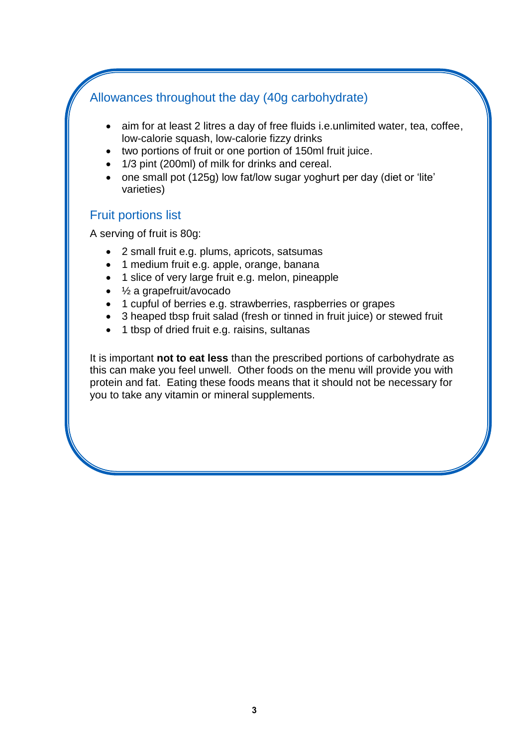## Allowances throughout the day (40g carbohydrate)

- aim for at least 2 litres a day of free fluids i.e.unlimited water, tea, coffee, low-calorie squash, low-calorie fizzy drinks
- two portions of fruit or one portion of 150ml fruit juice.
- 1/3 pint (200ml) of milk for drinks and cereal.
- one small pot (125g) low fat/low sugar yoghurt per day (diet or 'lite' varieties)

#### Fruit portions list

A serving of fruit is 80g:

- 2 small fruit e.g. plums, apricots, satsumas
- 1 medium fruit e.g. apple, orange, banana
- 1 slice of very large fruit e.g. melon, pineapple
- $\bullet$   $\frac{1}{2}$  a grapefruit/avocado
- 1 cupful of berries e.g. strawberries, raspberries or grapes
- 3 heaped tbsp fruit salad (fresh or tinned in fruit juice) or stewed fruit
- 1 tbsp of dried fruit e.g. raisins, sultanas

It is important **not to eat less** than the prescribed portions of carbohydrate as this can make you feel unwell. Other foods on the menu will provide you with protein and fat. Eating these foods means that it should not be necessary for you to take any vitamin or mineral supplements.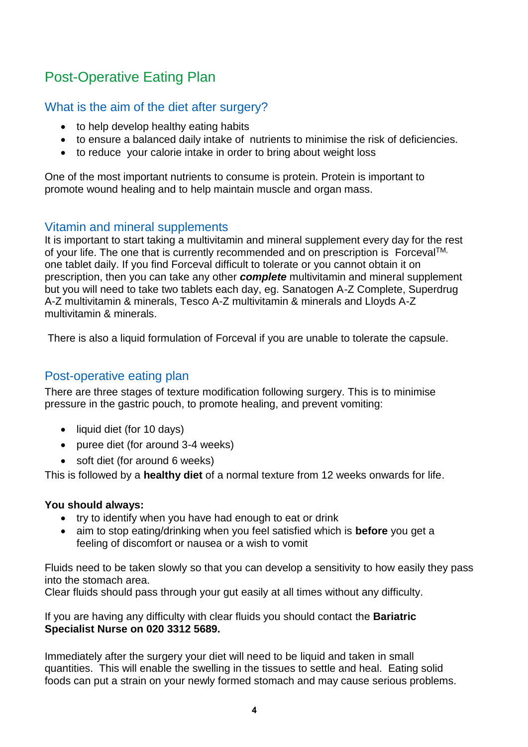## Post-Operative Eating Plan

#### What is the aim of the diet after surgery?

- to help develop healthy eating habits
- to ensure a balanced daily intake of nutrients to minimise the risk of deficiencies.
- to reduce your calorie intake in order to bring about weight loss

One of the most important nutrients to consume is protein. Protein is important to promote wound healing and to help maintain muscle and organ mass.

#### Vitamin and mineral supplements

It is important to start taking a multivitamin and mineral supplement every day for the rest of your life. The one that is currently recommended and on prescription is Forceval<sup>TM,</sup> one tablet daily. If you find Forceval difficult to tolerate or you cannot obtain it on prescription, then you can take any other *complete* multivitamin and mineral supplement but you will need to take two tablets each day, eg. Sanatogen A-Z Complete, Superdrug A-Z multivitamin & minerals, Tesco A-Z multivitamin & minerals and Lloyds A-Z multivitamin & minerals.

There is also a liquid formulation of Forceval if you are unable to tolerate the capsule.

#### Post-operative eating plan

There are three stages of texture modification following surgery. This is to minimise pressure in the gastric pouch, to promote healing, and prevent vomiting:

- liquid diet (for 10 days)
- puree diet (for around 3-4 weeks)
- soft diet (for around 6 weeks)

This is followed by a **healthy diet** of a normal texture from 12 weeks onwards for life.

#### **You should always:**

- try to identify when you have had enough to eat or drink
- aim to stop eating/drinking when you feel satisfied which is **before** you get a feeling of discomfort or nausea or a wish to vomit

Fluids need to be taken slowly so that you can develop a sensitivity to how easily they pass into the stomach area.

Clear fluids should pass through your gut easily at all times without any difficulty.

If you are having any difficulty with clear fluids you should contact the **Bariatric Specialist Nurse on 020 3312 5689.**

Immediately after the surgery your diet will need to be liquid and taken in small quantities. This will enable the swelling in the tissues to settle and heal. Eating solid foods can put a strain on your newly formed stomach and may cause serious problems.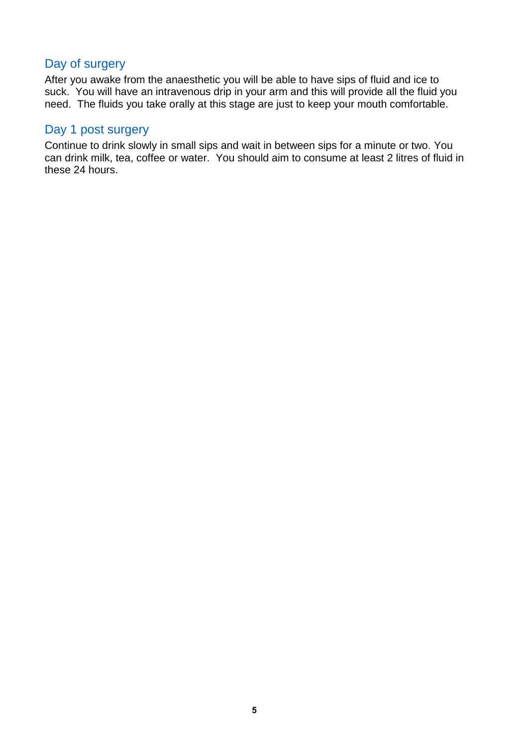#### Day of surgery

After you awake from the anaesthetic you will be able to have sips of fluid and ice to suck. You will have an intravenous drip in your arm and this will provide all the fluid you need. The fluids you take orally at this stage are just to keep your mouth comfortable.

#### Day 1 post surgery

Continue to drink slowly in small sips and wait in between sips for a minute or two. You can drink milk, tea, coffee or water. You should aim to consume at least 2 litres of fluid in these 24 hours.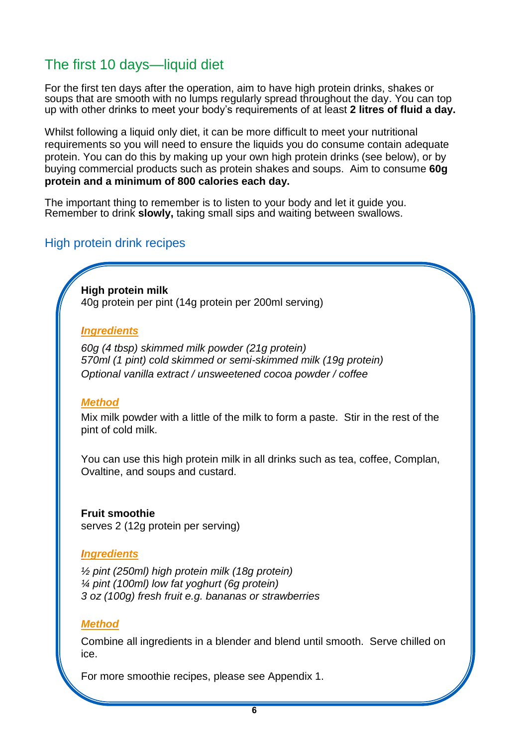## The first 10 days—liquid diet

For the first ten days after the operation, aim to have high protein drinks, shakes or soups that are smooth with no lumps regularly spread throughout the day. You can top up with other drinks to meet your body's requirements of at least **2 litres of fluid a day.**

Whilst following a liquid only diet, it can be more difficult to meet your nutritional requirements so you will need to ensure the liquids you do consume contain adequate protein. You can do this by making up your own high protein drinks (see below), or by buying commercial products such as protein shakes and soups. Aim to consume **60g protein and a minimum of 800 calories each day.** 

The important thing to remember is to listen to your body and let it guide you. Remember to drink **slowly,** taking small sips and waiting between swallows.

#### High protein drink recipes

**High protein milk** 40g protein per pint (14g protein per 200ml serving)

#### *Ingredients*

*60g (4 tbsp) skimmed milk powder (21g protein) 570ml (1 pint) cold skimmed or semi-skimmed milk (19g protein) Optional vanilla extract / unsweetened cocoa powder / coffee*

#### *Method*

Mix milk powder with a little of the milk to form a paste. Stir in the rest of the pint of cold milk.

You can use this high protein milk in all drinks such as tea, coffee, Complan, Ovaltine, and soups and custard.

**Fruit smoothie** serves 2 (12g protein per serving)

#### *Ingredients*

*½ pint (250ml) high protein milk (18g protein) ¼ pint (100ml) low fat yoghurt (6g protein) 3 oz (100g) fresh fruit e.g. bananas or strawberries*

#### *Method*

Combine all ingredients in a blender and blend until smooth. Serve chilled on ice.

For more smoothie recipes, please see Appendix 1.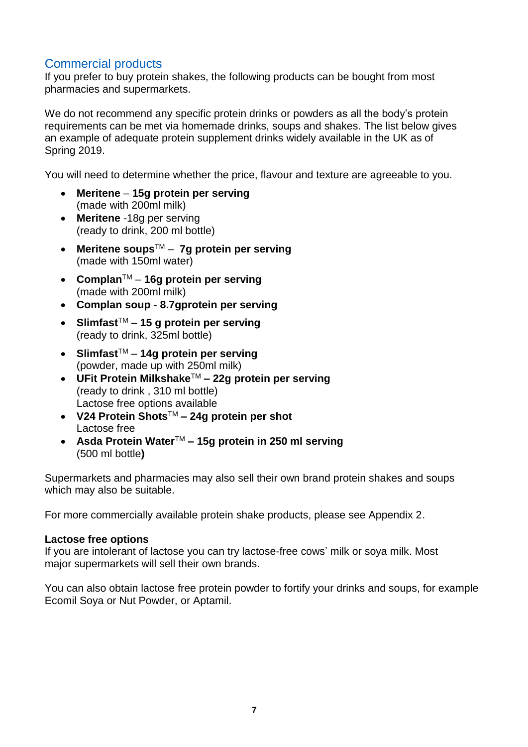#### Commercial products

If you prefer to buy protein shakes, the following products can be bought from most pharmacies and supermarkets.

We do not recommend any specific protein drinks or powders as all the body's protein requirements can be met via homemade drinks, soups and shakes. The list below gives an example of adequate protein supplement drinks widely available in the UK as of Spring 2019.

You will need to determine whether the price, flavour and texture are agreeable to you.

- **Meritene 15g protein per serving** (made with 200ml milk)
- **Meritene** -18g per serving (ready to drink, 200 ml bottle)
- **Meritene soups**TM **7g protein per serving** (made with 150ml water)
- **Complan**TM **16g protein per serving** (made with 200ml milk)
- **Complan soup 8.7gprotein per serving**
- **Slimfast**TM **15 g protein per serving** (ready to drink, 325ml bottle)
- **Slimfast**TM **14g protein per serving** (powder, made up with 250ml milk)
- **UFit Protein Milkshake**TM **– 22g protein per serving** (ready to drink , 310 ml bottle) Lactose free options available
- **V24 Protein Shots**TM **– 24g protein per shot** Lactose free
- **Asda Protein Water**TM **– 15g protein in 250 ml serving** (500 ml bottle**)**

Supermarkets and pharmacies may also sell their own brand protein shakes and soups which may also be suitable.

For more commercially available protein shake products, please see Appendix 2.

#### **Lactose free options**

If you are intolerant of lactose you can try lactose-free cows' milk or soya milk. Most major supermarkets will sell their own brands.

You can also obtain lactose free protein powder to fortify your drinks and soups, for example Ecomil Soya or Nut Powder, or Aptamil.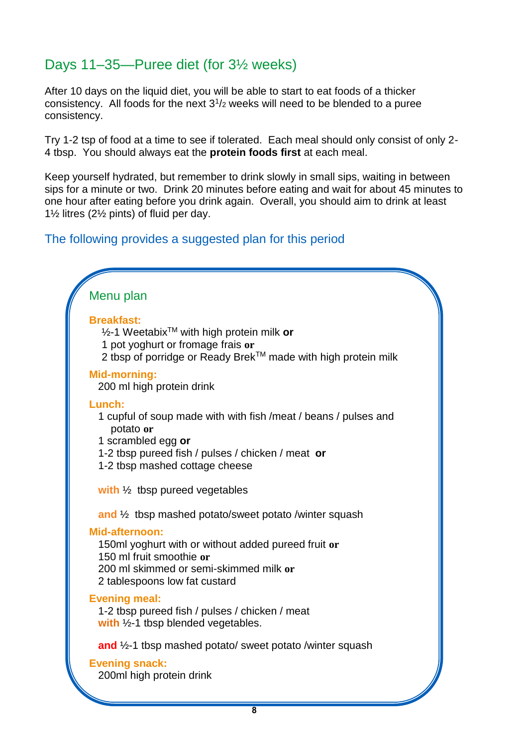## Days 11–35—Puree diet (for 3½ weeks)

After 10 days on the liquid diet, you will be able to start to eat foods of a thicker consistency. All foods for the next  $3<sup>1</sup>/2$  weeks will need to be blended to a puree consistency.

Try 1-2 tsp of food at a time to see if tolerated. Each meal should only consist of only 2- 4 tbsp. You should always eat the **protein foods first** at each meal.

Keep yourself hydrated, but remember to drink slowly in small sips, waiting in between sips for a minute or two. Drink 20 minutes before eating and wait for about 45 minutes to one hour after eating before you drink again. Overall, you should aim to drink at least 1½ litres (2½ pints) of fluid per day.

#### The following provides a suggested plan for this period

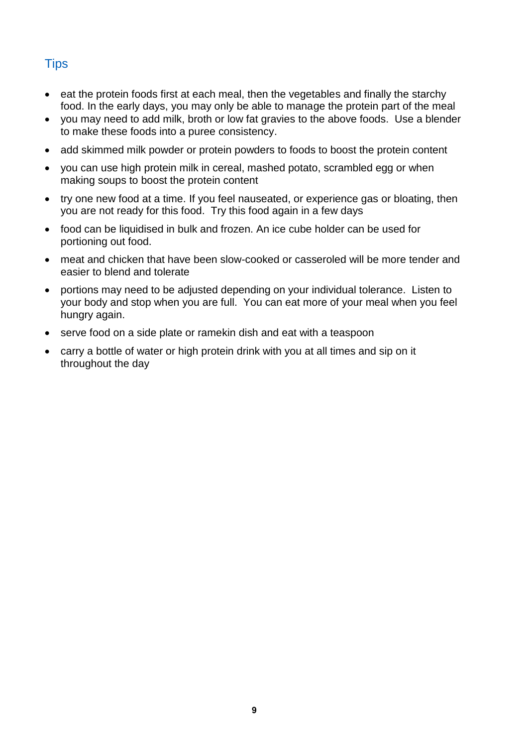## **Tips**

- $\bullet$  eat the protein foods first at each meal, then the vegetables and finally the starchy food. In the early days, you may only be able to manage the protein part of the meal
- you may need to add milk, broth or low fat gravies to the above foods. Use a blender to make these foods into a puree consistency.
- add skimmed milk powder or protein powders to foods to boost the protein content
- you can use high protein milk in cereal, mashed potato, scrambled egg or when making soups to boost the protein content
- try one new food at a time. If you feel nauseated, or experience gas or bloating, then you are not ready for this food. Try this food again in a few days
- food can be liquidised in bulk and frozen. An ice cube holder can be used for portioning out food.
- meat and chicken that have been slow-cooked or casseroled will be more tender and easier to blend and tolerate
- portions may need to be adjusted depending on your individual tolerance. Listen to your body and stop when you are full. You can eat more of your meal when you feel hungry again.
- serve food on a side plate or ramekin dish and eat with a teaspoon
- carry a bottle of water or high protein drink with you at all times and sip on it throughout the day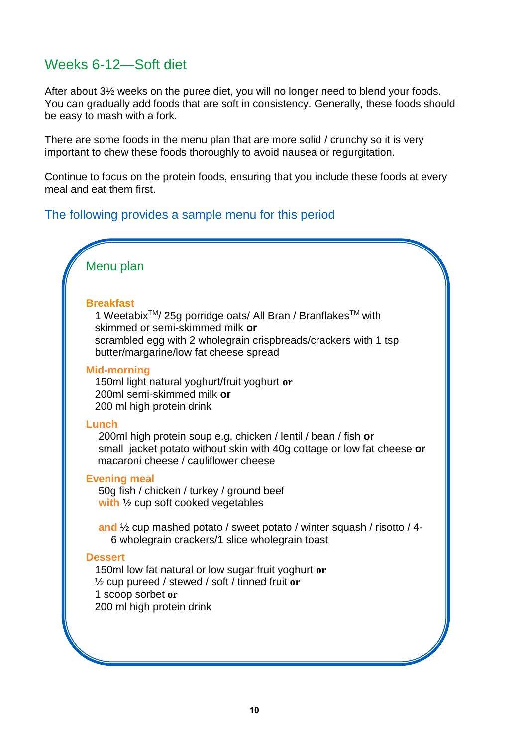## Weeks 6-12—Soft diet

After about 3½ weeks on the puree diet, you will no longer need to blend your foods. You can gradually add foods that are soft in consistency. Generally, these foods should be easy to mash with a fork.

There are some foods in the menu plan that are more solid / crunchy so it is very important to chew these foods thoroughly to avoid nausea or regurgitation.

Continue to focus on the protein foods, ensuring that you include these foods at every meal and eat them first.

#### The following provides a sample menu for this period



#### **Breakfast**

1 Weetabix<sup>™</sup>/ 25g porridge oats/ All Bran / Branflakes™ with skimmed or semi-skimmed milk **or** scrambled egg with 2 wholegrain crispbreads/crackers with 1 tsp butter/margarine/low fat cheese spread

#### **Mid-morning**

150ml light natural yoghurt/fruit yoghurt **or** 200ml semi-skimmed milk **or** 200 ml high protein drink

#### **Lunch**

200ml high protein soup e.g. chicken / lentil / bean / fish **or** small jacket potato without skin with 40g cottage or low fat cheese **or** macaroni cheese / cauliflower cheese

#### **Evening meal**

50g fish / chicken / turkey / ground beef **with** ½ cup soft cooked vegetables

**and** ½ cup mashed potato / sweet potato / winter squash / risotto / 4- 6 wholegrain crackers/1 slice wholegrain toast

#### **Dessert**

150ml low fat natural or low sugar fruit yoghurt **or** ½ cup pureed / stewed / soft / tinned fruit **or** 1 scoop sorbet **or** 200 ml high protein drink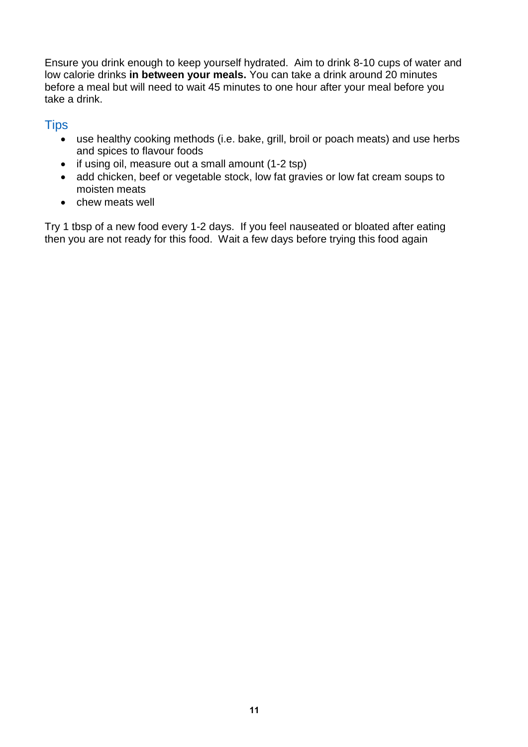Ensure you drink enough to keep yourself hydrated. Aim to drink 8-10 cups of water and low calorie drinks **in between your meals.** You can take a drink around 20 minutes before a meal but will need to wait 45 minutes to one hour after your meal before you take a drink.

#### **Tips**

- use healthy cooking methods (i.e. bake, grill, broil or poach meats) and use herbs and spices to flavour foods
- if using oil, measure out a small amount (1-2 tsp)
- add chicken, beef or vegetable stock, low fat gravies or low fat cream soups to moisten meats
- chew meats well

Try 1 tbsp of a new food every 1-2 days. If you feel nauseated or bloated after eating then you are not ready for this food. Wait a few days before trying this food again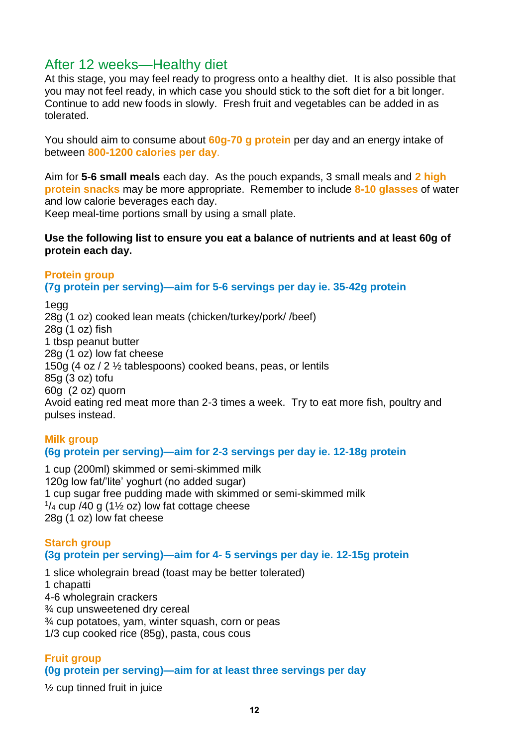## After 12 weeks—Healthy diet

At this stage, you may feel ready to progress onto a healthy diet. It is also possible that you may not feel ready, in which case you should stick to the soft diet for a bit longer. Continue to add new foods in slowly. Fresh fruit and vegetables can be added in as tolerated.

You should aim to consume about **60g-70 g protein** per day and an energy intake of between **800-1200 calories per day**.

Aim for **5-6 small meals** each day. As the pouch expands, 3 small meals and **2 high protein snacks** may be more appropriate. Remember to include **8-10 glasses** of water and low calorie beverages each day.

Keep meal-time portions small by using a small plate.

#### **Use the following list to ensure you eat a balance of nutrients and at least 60g of protein each day.**

#### **Protein group**

**(7g protein per serving)—aim for 5-6 servings per day ie. 35-42g protein**

1egg

28g (1 oz) cooked lean meats (chicken/turkey/pork/ /beef) 28g (1 oz) fish 1 tbsp peanut butter 28g (1 oz) low fat cheese 150g (4 oz / 2 ½ tablespoons) cooked beans, peas, or lentils 85g (3 oz) tofu 60g (2 oz) quorn Avoid eating red meat more than 2-3 times a week. Try to eat more fish, poultry and pulses instead.

#### **Milk group (6g protein per serving)—aim for 2-3 servings per day ie. 12-18g protein**

1 cup (200ml) skimmed or semi-skimmed milk 120g low fat/'lite' yoghurt (no added sugar) 1 cup sugar free pudding made with skimmed or semi-skimmed milk  $1/4$  cup /40 g (1 $\frac{1}{2}$  oz) low fat cottage cheese 28g (1 oz) low fat cheese

#### **Starch group (3g protein per serving)—aim for 4- 5 servings per day ie. 12-15g protein**

1 slice wholegrain bread (toast may be better tolerated) 1 chapatti 4-6 wholegrain crackers ¾ cup unsweetened dry cereal ¾ cup potatoes, yam, winter squash, corn or peas 1/3 cup cooked rice (85g), pasta, cous cous

#### **Fruit group (0g protein per serving)—aim for at least three servings per day**

½ cup tinned fruit in juice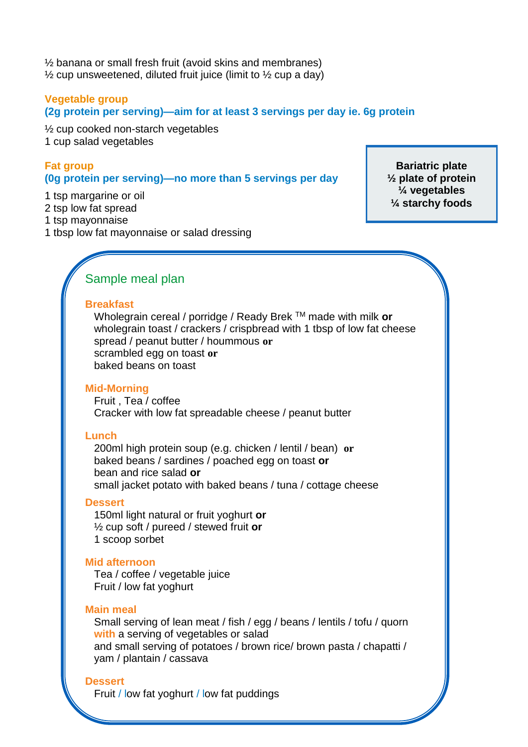½ banana or small fresh fruit (avoid skins and membranes)  $\frac{1}{2}$  cup unsweetened, diluted fruit juice (limit to  $\frac{1}{2}$  cup a day)

#### **Vegetable group**

**(2g protein per serving)—aim for at least 3 servings per day ie. 6g protein**

½ cup cooked non-starch vegetables 1 cup salad vegetables

#### **Fat group (0g protein per serving)—no more than 5 servings per day**

1 tsp margarine or oil

2 tsp low fat spread

1 tsp mayonnaise

1 tbsp low fat mayonnaise or salad dressing

**Bariatric plate ½ plate of protein ¼ vegetables ¼ starchy foods**

#### Sample meal plan

#### **Breakfast**

Wholegrain cereal / porridge / Ready Brek TM made with milk **or** wholegrain toast / crackers / crispbread with 1 tbsp of low fat cheese spread / peanut butter / hoummous **or** scrambled egg on toast **or** baked beans on toast

#### **Mid-Morning**

Fruit , Tea / coffee Cracker with low fat spreadable cheese / peanut butter

#### **Lunch**

200ml high protein soup (e.g. chicken / lentil / bean) **or** baked beans / sardines / poached egg on toast **or** bean and rice salad **or**  small jacket potato with baked beans / tuna / cottage cheese

#### **Dessert**

150ml light natural or fruit yoghurt **or** ½ cup soft / pureed / stewed fruit **or** 1 scoop sorbet

#### **Mid afternoon**

Tea / coffee / vegetable juice Fruit / low fat yoghurt

#### **Main meal**

Small serving of lean meat / fish / egg / beans / lentils / tofu / quorn **with** a serving of vegetables or salad and small serving of potatoes / brown rice/ brown pasta / chapatti / yam / plantain / cassava

#### **Dessert**

Fruit / low fat yoghurt / low fat puddings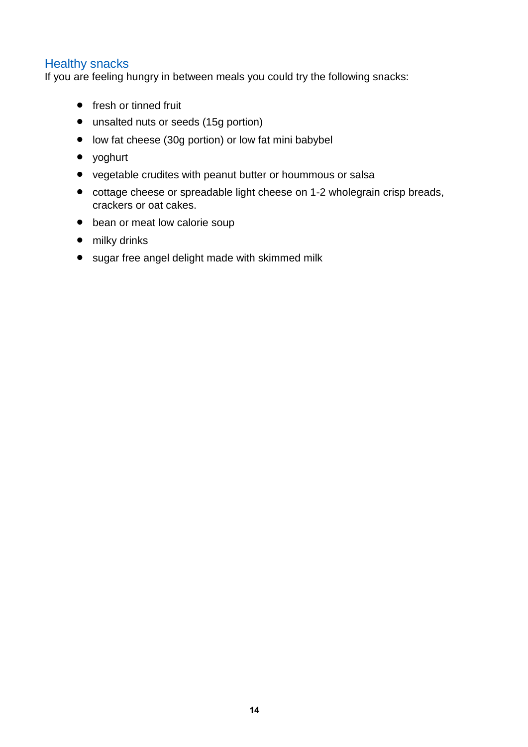#### Healthy snacks

If you are feeling hungry in between meals you could try the following snacks:

- fresh or tinned fruit
- unsalted nuts or seeds (15g portion)
- low fat cheese (30g portion) or low fat mini babybel
- yoghurt
- vegetable crudites with peanut butter or hoummous or salsa
- cottage cheese or spreadable light cheese on 1-2 wholegrain crisp breads, crackers or oat cakes.
- bean or meat low calorie soup
- milky drinks
- sugar free angel delight made with skimmed milk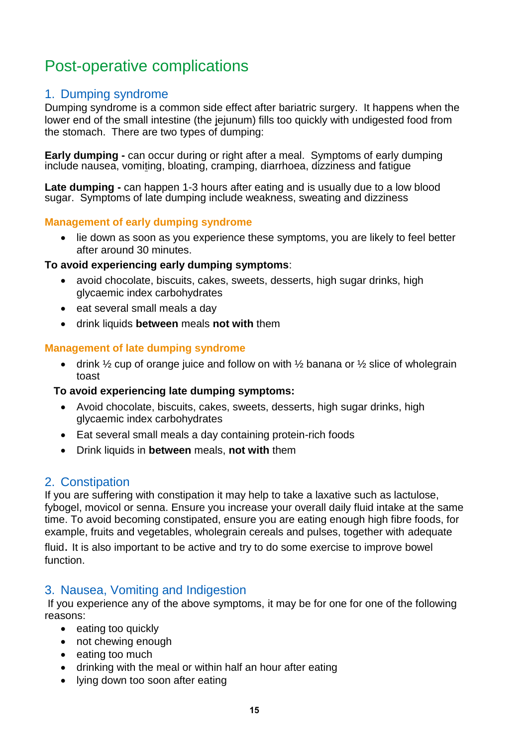## Post-operative complications

#### 1. Dumping syndrome

Dumping syndrome is a common side effect after bariatric surgery. It happens when the lower end of the small intestine (the jejunum) fills too quickly with undigested food from the stomach. There are two types of dumping:

**Early dumping -** can occur during or right after a meal. Symptoms of early dumping include nausea, vomiting, bloating, cramping, diarrhoea, dizziness and fatigue

**Late dumping -** can happen 1-3 hours after eating and is usually due to a low blood sugar. Symptoms of late dumping include weakness, sweating and dizziness

#### **Management of early dumping syndrome**

• lie down as soon as you experience these symptoms, you are likely to feel better after around 30 minutes.

#### **To avoid experiencing early dumping symptoms**:

- avoid chocolate, biscuits, cakes, sweets, desserts, high sugar drinks, high glycaemic index carbohydrates
- eat several small meals a day
- drink liquids **between** meals **not with** them

#### **Management of late dumping syndrome**

• drink  $\frac{1}{2}$  cup of orange juice and follow on with  $\frac{1}{2}$  banana or  $\frac{1}{2}$  slice of wholegrain toast

#### **To avoid experiencing late dumping symptoms:**

- Avoid chocolate, biscuits, cakes, sweets, desserts, high sugar drinks, high glycaemic index carbohydrates
- Eat several small meals a day containing protein-rich foods
- Drink liquids in **between** meals, **not with** them

#### 2. Constipation

If you are suffering with constipation it may help to take a laxative such as lactulose, fybogel, movicol or senna. Ensure you increase your overall daily fluid intake at the same time. To avoid becoming constipated, ensure you are eating enough high fibre foods, for example, fruits and vegetables, wholegrain cereals and pulses, together with adequate fluid. It is also important to be active and try to do some exercise to improve bowel function.

#### 3. Nausea, Vomiting and Indigestion

If you experience any of the above symptoms, it may be for one for one of the following reasons:

- eating too quickly
- not chewing enough
- eating too much
- drinking with the meal or within half an hour after eating
- Iving down too soon after eating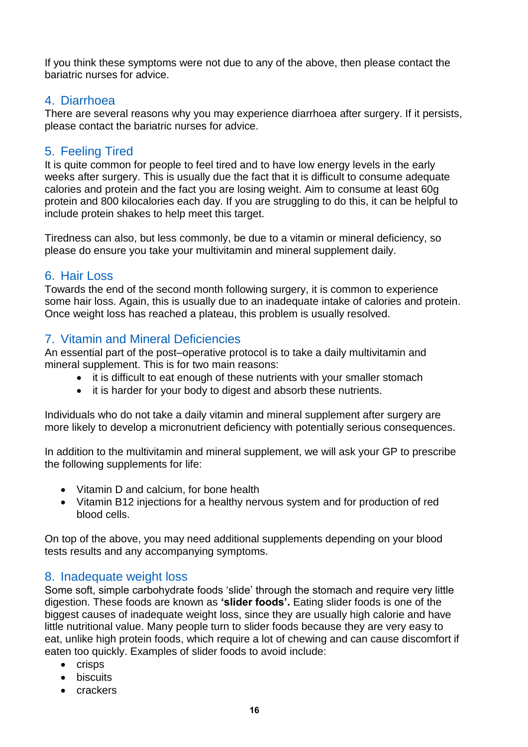If you think these symptoms were not due to any of the above, then please contact the bariatric nurses for advice.

#### 4. Diarrhoea

There are several reasons why you may experience diarrhoea after surgery. If it persists, please contact the bariatric nurses for advice.

#### 5. Feeling Tired

It is quite common for people to feel tired and to have low energy levels in the early weeks after surgery. This is usually due the fact that it is difficult to consume adequate calories and protein and the fact you are losing weight. Aim to consume at least 60g protein and 800 kilocalories each day. If you are struggling to do this, it can be helpful to include protein shakes to help meet this target.

Tiredness can also, but less commonly, be due to a vitamin or mineral deficiency, so please do ensure you take your multivitamin and mineral supplement daily.

#### 6. Hair Loss

Towards the end of the second month following surgery, it is common to experience some hair loss. Again, this is usually due to an inadequate intake of calories and protein. Once weight loss has reached a plateau, this problem is usually resolved.

#### 7. Vitamin and Mineral Deficiencies

An essential part of the post–operative protocol is to take a daily multivitamin and mineral supplement. This is for two main reasons:

- it is difficult to eat enough of these nutrients with your smaller stomach
- it is harder for your body to digest and absorb these nutrients.

Individuals who do not take a daily vitamin and mineral supplement after surgery are more likely to develop a micronutrient deficiency with potentially serious consequences.

In addition to the multivitamin and mineral supplement, we will ask your GP to prescribe the following supplements for life:

- Vitamin D and calcium, for bone health
- Vitamin B12 injections for a healthy nervous system and for production of red blood cells.

On top of the above, you may need additional supplements depending on your blood tests results and any accompanying symptoms.

#### 8. Inadequate weight loss

Some soft, simple carbohydrate foods 'slide' through the stomach and require very little digestion. These foods are known as **'slider foods'.** Eating slider foods is one of the biggest causes of inadequate weight loss, since they are usually high calorie and have little nutritional value. Many people turn to slider foods because they are very easy to eat, unlike high protein foods, which require a lot of chewing and can cause discomfort if eaten too quickly. Examples of slider foods to avoid include:

- $\bullet$  crisps
- biscuits
- crackers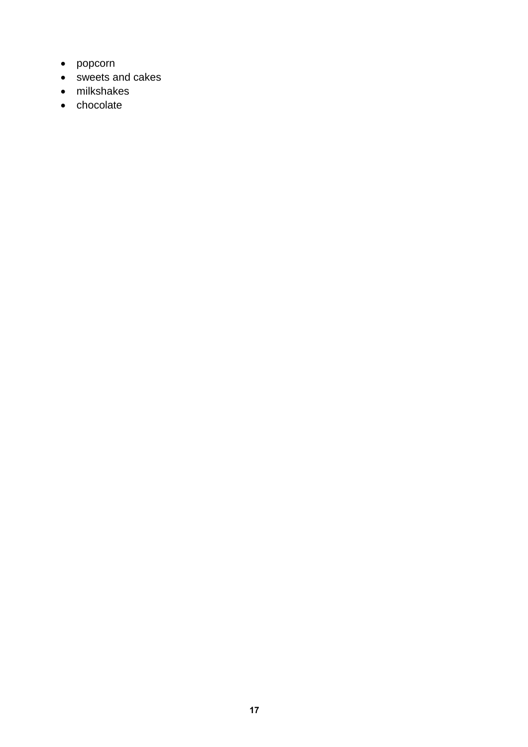- popcorn
- sweets and cakes
- milkshakes
- chocolate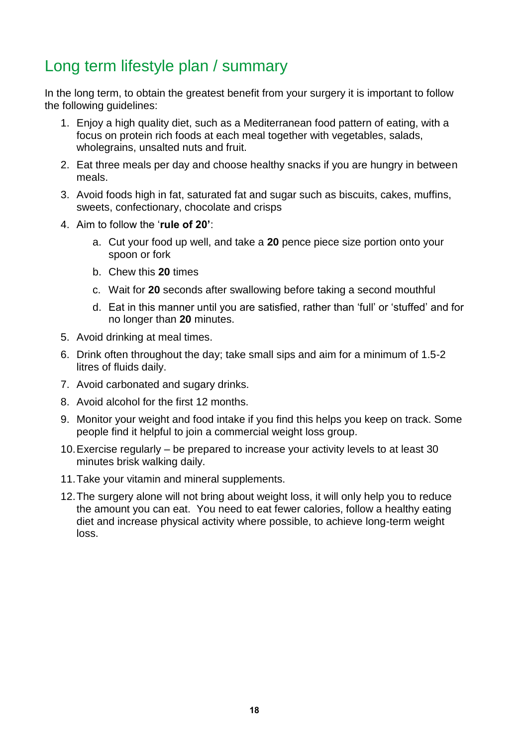## Long term lifestyle plan / summary

In the long term, to obtain the greatest benefit from your surgery it is important to follow the following guidelines:

- 1. Enjoy a high quality diet, such as a Mediterranean food pattern of eating, with a focus on protein rich foods at each meal together with vegetables, salads, wholegrains, unsalted nuts and fruit.
- 2. Eat three meals per day and choose healthy snacks if you are hungry in between meals.
- 3. Avoid foods high in fat, saturated fat and sugar such as biscuits, cakes, muffins, sweets, confectionary, chocolate and crisps
- 4. Aim to follow the '**rule of 20'**:
	- a. Cut your food up well, and take a **20** pence piece size portion onto your spoon or fork
	- b. Chew this **20** times
	- c. Wait for **20** seconds after swallowing before taking a second mouthful
	- d. Eat in this manner until you are satisfied, rather than 'full' or 'stuffed' and for no longer than **20** minutes.
- 5. Avoid drinking at meal times.
- 6. Drink often throughout the day; take small sips and aim for a minimum of 1.5-2 litres of fluids daily.
- 7. Avoid carbonated and sugary drinks.
- 8. Avoid alcohol for the first 12 months.
- 9. Monitor your weight and food intake if you find this helps you keep on track. Some people find it helpful to join a commercial weight loss group.
- 10.Exercise regularly be prepared to increase your activity levels to at least 30 minutes brisk walking daily.
- 11.Take your vitamin and mineral supplements.
- 12.The surgery alone will not bring about weight loss, it will only help you to reduce the amount you can eat. You need to eat fewer calories, follow a healthy eating diet and increase physical activity where possible, to achieve long-term weight loss.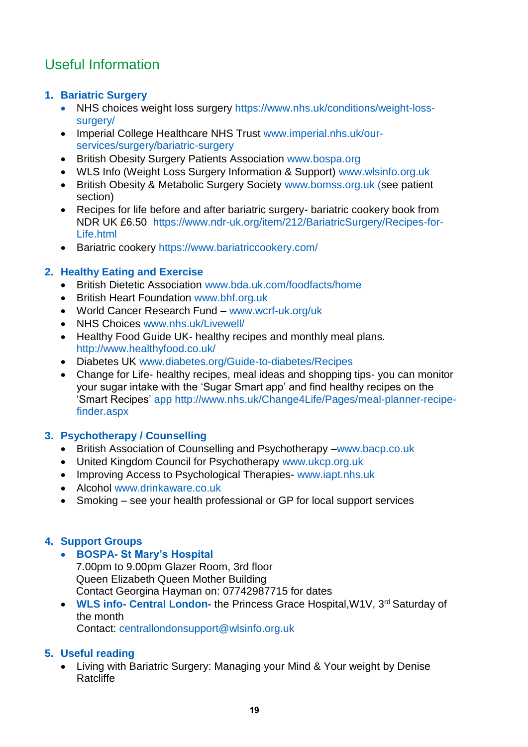## Useful Information

#### **1. Bariatric Surgery**

- NHS choices weight loss surgery [https://www.nhs.uk/conditions/weight-loss](https://www.nhs.uk/conditions/weight-loss-surgery/)[surgery/](https://www.nhs.uk/conditions/weight-loss-surgery/)
- Imperial College Healthcare NHS Trust [www.imperial.nhs.uk/our](http://www.imperial.nhs.uk/our-services/surgery/bariatric-surgery)[services/surgery/bariatric-surgery](http://www.imperial.nhs.uk/our-services/surgery/bariatric-surgery)
- British Obesity Surgery Patients Association [www.bospa.org](http://www.bospa.org/)
- WLS Info (Weight Loss Surgery Information & Support) [www.wlsinfo.org.uk](http://www.wlsinfo.org.uk/)
- British Obesity & Metabolic Surgery Society [www.bomss.org.uk](http://www.bomss.org.uk/) (see patient section)
- Recipes for life before and after bariatric surgery- bariatric cookery book from NDR UK £6.50 [https://www.ndr-uk.org/item/212/BariatricSurgery/Recipes-for-](https://www.ndr-uk.org/item/212/BariatricSurgery/Recipes-for-Life.html)[Life.html](https://www.ndr-uk.org/item/212/BariatricSurgery/Recipes-for-Life.html)
- Bariatric cookery https://www.bariatriccookery.com/

#### **2. Healthy Eating and Exercise**

- British Dietetic Association [www.bda.uk.com/foodfacts/home](http://www.bda.uk.com/foodfacts/home)
- **British Heart Foundation [www.bhf.org.uk](http://www.bhf.org.uk/)**
- World Cancer Research Fund [www.wcrf-uk.org/uk](http://www.wcrf-uk.org/uk)
- NHS Choices [www.nhs.uk/Livewell/](http://www.nhs.uk/Livewell/)
- Healthy Food Guide UK- healthy recipes and monthly meal plans. <http://www.healthyfood.co.uk/>
- Diabetes UK [www.diabetes.org/Guide-to-diabetes/Recipes](http://www.diabetes.org/Guide-to-diabetes/Recipes)
- Change for Life- healthy recipes, meal ideas and shopping tips- you can monitor your sugar intake with the 'Sugar Smart app' and find healthy recipes on the 'Smart Recipes' app [http://www.nhs.uk/Change4Life/Pages/meal-planner-recipe](http://www.nhs.uk/Change4Life/Pages/meal-planner-recipe-finder.aspx)[finder.aspx](http://www.nhs.uk/Change4Life/Pages/meal-planner-recipe-finder.aspx)

#### **3. Psychotherapy / Counselling**

- British Association of Counselling and Psychotherapy –www.bacp.co.uk
- United Kingdom Council for Psychotherapy [www.ukcp.org.uk](http://www.ukcp.org.uk/)
- Improving Access to Psychological Therapies- www.japt.nhs.uk
- Alcohol [www.drinkaware.co.uk](http://www.drinkaware.co.uk/)
- Smoking see your health professional or GP for local support services

#### **4. Support Groups**

- **BOSPA- St Mary's Hospital** 
	- 7.00pm to 9.00pm Glazer Room, 3rd floor Queen Elizabeth Queen Mother Building Contact Georgina Hayman on: 07742987715 for dates
- **WLS info- Central London-** the Princess Grace Hospital, W1V, 3<sup>rd</sup> Saturday of the month

Contact: [centrallondonsupport@wlsinfo.org.uk](mailto:centrallondonsupport@wlsinfo.org.uk)

#### **5. Useful reading**

 Living with Bariatric Surgery: Managing your Mind & Your weight by Denise Ratcliffe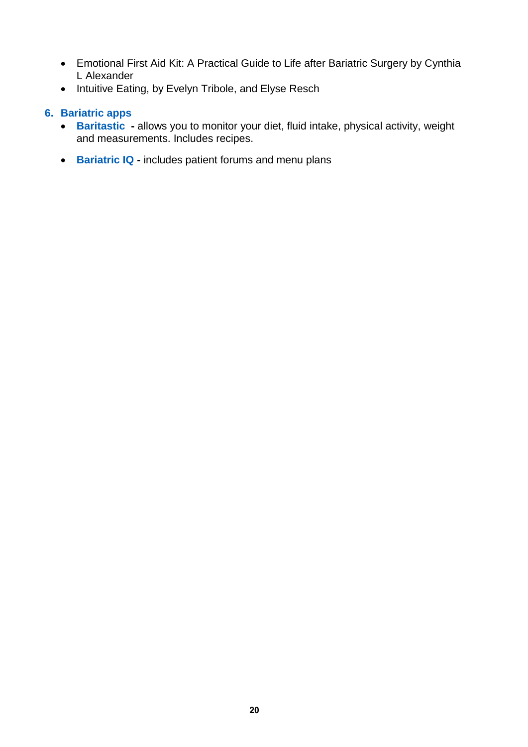- Emotional First Aid Kit: A Practical Guide to Life after Bariatric Surgery by Cynthia L Alexander
- Intuitive Eating, by Evelyn Tribole, and Elyse Resch

#### **6. Bariatric apps**

- **Baritastic -** allows you to monitor your diet, fluid intake, physical activity, weight and measurements. Includes recipes.
- **Bariatric IQ** includes patient forums and menu plans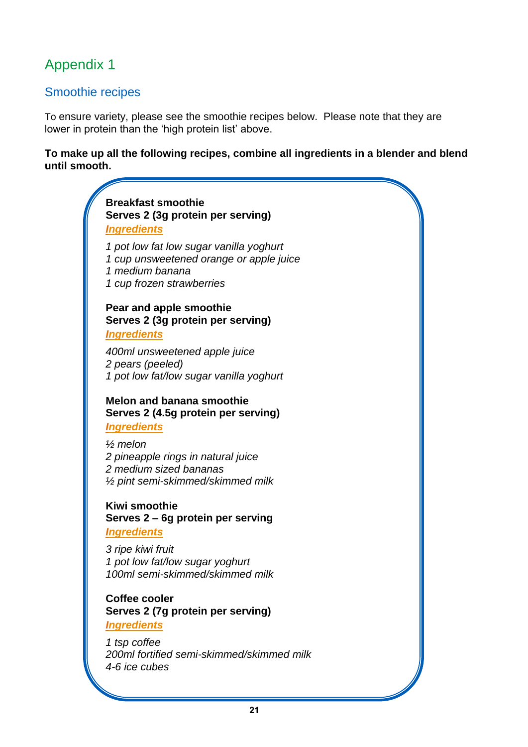## Appendix 1

#### Smoothie recipes

To ensure variety, please see the smoothie recipes below. Please note that they are lower in protein than the 'high protein list' above.

**To make up all the following recipes, combine all ingredients in a blender and blend until smooth.**

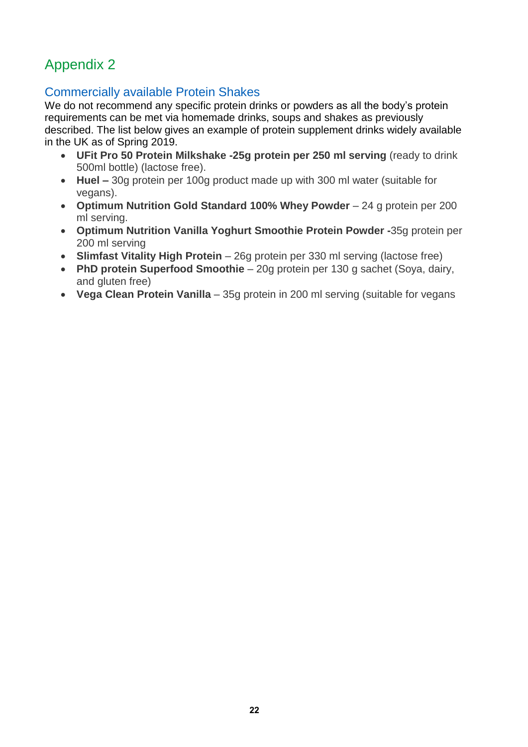## Appendix 2

## Commercially available Protein Shakes

We do not recommend any specific protein drinks or powders as all the body's protein requirements can be met via homemade drinks, soups and shakes as previously described. The list below gives an example of protein supplement drinks widely available in the UK as of Spring 2019.

- **UFit Pro 50 Protein Milkshake -25g protein per 250 ml serving** (ready to drink 500ml bottle) (lactose free).
- **Huel –** 30g protein per 100g product made up with 300 ml water (suitable for vegans).
- **Optimum Nutrition Gold Standard 100% Whey Powder** 24 g protein per 200 ml serving.
- **Optimum Nutrition Vanilla Yoghurt Smoothie Protein Powder -**35g protein per 200 ml serving
- **Slimfast Vitality High Protein** 26g protein per 330 ml serving (lactose free)
- **PhD protein Superfood Smoothie** 20g protein per 130 g sachet (Soya, dairy, and gluten free)
- **Vega Clean Protein Vanilla** 35g protein in 200 ml serving (suitable for vegans